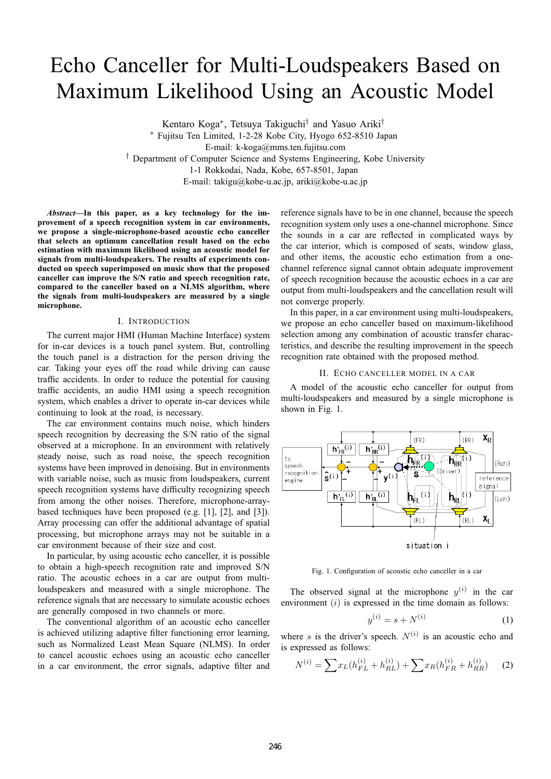# Echo Canceller for Multi-Loudspeakers Based on Maximum Likelihood Using an Acoustic Model

Kentaro Koga∗, Tetsuya Takiguchi† and Yasuo Ariki†

∗ Fujitsu Ten Limited, 1-2-28 Kobe City, Hyogo 652-8510 Japan E-mail: k-koga@mms.ten.fujitsu.com † Department of Computer Science and Systems Engineering, Kobe University 1-1 Rokkodai, Nada, Kobe, 657-8501, Japan E-mail: takigu@kobe-u.ac.jp, ariki@kobe-u.ac.jp

*Abstract***—In this paper, as a key technology for the improvement of a speech recognition system in car environments, we propose a single-microphone-based acoustic echo canceller that selects an optimum cancellation result based on the echo estimation with maximum likelihood using an acoustic model for signals from multi-loudspeakers. The results of experiments conducted on speech superimposed on music show that the proposed canceller can improve the S/N ratio and speech recognition rate, compared to the canceller based on a NLMS algorithm, where the signals from multi-loudspeakers are measured by a single microphone.**

# I. INTRODUCTION

The current major HMI (Human Machine Interface) system for in-car devices is a touch panel system. But, controlling the touch panel is a distraction for the person driving the car. Taking your eyes off the road while driving can cause traffic accidents. In order to reduce the potential for causing traffic accidents, an audio HMI using a speech recognition system, which enables a driver to operate in-car devices while continuing to look at the road, is necessary.

The car environment contains much noise, which hinders speech recognition by decreasing the S/N ratio of the signal observed at a microphone. In an environment with relatively steady noise, such as road noise, the speech recognition systems have been improved in denoising. But in environments with variable noise, such as music from loudspeakers, current speech recognition systems have difficulty recognizing speech from among the other noises. Therefore, microphone-arraybased techniques have been proposed (e.g. [1], [2], and [3]). Array processing can offer the additional advantage of spatial processing, but microphone arrays may not be suitable in a car environment because of their size and cost.

In particular, by using acoustic echo canceller, it is possible to obtain a high-speech recognition rate and improved S/N ratio. The acoustic echoes in a car are output from multiloudspeakers and measured with a single microphone. The reference signals that are necessary to simulate acoustic echoes are generally composed in two channels or more.

The conventional algorithm of an acoustic echo canceller is achieved utilizing adaptive filter functioning error learning, such as Normalized Least Mean Square (NLMS). In order to cancel acoustic echoes using an acoustic echo canceller in a car environment, the error signals, adaptive filter and

reference signals have to be in one channel, because the speech recognition system only uses a one-channel microphone. Since the sounds in a car are reflected in complicated ways by the car interior, which is composed of seats, window glass, and other items, the acoustic echo estimation from a onechannel reference signal cannot obtain adequate improvement of speech recognition because the acoustic echoes in a car are output from multi-loudspeakers and the cancellation result will not converge properly.

In this paper, in a car environment using multi-loudspeakers, we propose an echo canceller based on maximum-likelihood selection among any combination of acoustic transfer characteristics, and describe the resulting improvement in the speech recognition rate obtained with the proposed method.

## II. ECHO CANCELLER MODEL IN A CAR

A model of the acoustic echo canceller for output from multi-loudspeakers and measured by a single microphone is shown in Fig. 1.



Fig. 1. Configuration of acoustic echo canceller in a car

The observed signal at the microphone  $y^{(i)}$  in the car environment  $(i)$  is expressed in the time domain as follows:

$$
y^{(i)} = s + N^{(i)} \tag{1}
$$

where s is the driver's speech.  $N^{(i)}$  is an acoustic echo and is expressed as follows:

$$
N^{(i)} = \sum x_L (h_{FL}^{(i)} + h_{RL}^{(i)}) + \sum x_R (h_{FR}^{(i)} + h_{RR}^{(i)}) \tag{2}
$$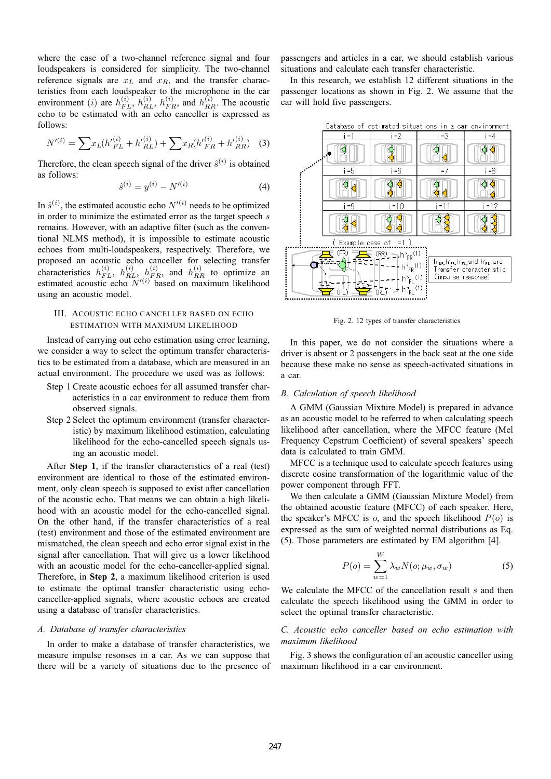where the case of a two-channel reference signal and four loudspeakers is considered for simplicity. The two-channel reference signals are  $x_L$  and  $x_R$ , and the transfer characteristics from each loudspeaker to the microphone in the car environment (*i*) are  $h_{FL}^{(i)}$ ,  $h_{FL}^{(i)}$ ,  $h_{FR}^{(i)}$ , and  $h_{R}^{(i)}$ . The acoustic echo to be estimated with an echo canceller is expressed as echo to be estimated with an echo canceller is expressed as follows:

$$
N^{\prime(i)} = \sum x_L (h^{\prime(i)}_{FL} + h^{\prime(i)}_{RL}) + \sum x_R (h^{\prime(i)}_{FR} + h^{\prime(i)}_{RR}) \quad (3)
$$

Therefore, the clean speech signal of the driver  $\hat{s}^{(i)}$  is obtained as follows:

$$
\hat{s}^{(i)} = y^{(i)} - N'^{(i)} \tag{4}
$$

In  $\hat{s}^{(i)}$ , the estimated acoustic echo  $N'^{(i)}$  needs to be optimized<br>in order to minimize the estimated error as the target speech s in order to minimize the estimated error as the target speech s remains. However, with an adaptive filter (such as the conventional NLMS method), it is impossible to estimate acoustic echoes from multi-loudspeakers, respectively. Therefore, we proposed an acoustic echo canceller for selecting transfer characteristics  $h_{FL}^{(i)}$ ,  $h_{RL}^{(i)}$ ,  $h_{FR}^{(i)}$ , and  $h_{RR}^{(i)}$  to optimize an estimated acoustic echo  $N^{(i)}$  based on maximum likelihood using an acoustic model.

# III. ACOUSTIC ECHO CANCELLER BASED ON ECHO ESTIMATION WITH MAXIMUM LIKELIHOOD

Instead of carrying out echo estimation using error learning, we consider a way to select the optimum transfer characteristics to be estimated from a database, which are measured in an actual environment. The procedure we used was as follows:

- Step 1 Create acoustic echoes for all assumed transfer characteristics in a car environment to reduce them from observed signals.
- Step 2 Select the optimum environment (transfer characteristic) by maximum likelihood estimation, calculating likelihood for the echo-cancelled speech signals using an acoustic model.

After **Step 1**, if the transfer characteristics of a real (test) environment are identical to those of the estimated environment, only clean speech is supposed to exist after cancellation of the acoustic echo. That means we can obtain a high likelihood with an acoustic model for the echo-cancelled signal. On the other hand, if the transfer characteristics of a real (test) environment and those of the estimated environment are mismatched, the clean speech and echo error signal exist in the signal after cancellation. That will give us a lower likelihood with an acoustic model for the echo-canceller-applied signal. Therefore, in **Step 2**, a maximum likelihood criterion is used to estimate the optimal transfer characteristic using echocanceller-applied signals, where acoustic echoes are created using a database of transfer characteristics.

## *A. Database of transfer characteristics*

In order to make a database of transfer characteristics, we measure impulse resonses in a car. As we can suppose that there will be a variety of situations due to the presence of

passengers and articles in a car, we should establish various situations and calculate each transfer characteristic.

In this research, we establish 12 different situations in the passenger locations as shown in Fig. 2. We assume that the car will hold five passengers.



Fig. 2. 12 types of transfer characteristics

In this paper, we do not consider the situations where a driver is absent or 2 passengers in the back seat at the one side because these make no sense as speech-activated situations in a car.

## *B. Calculation of speech likelihood*

A GMM (Gaussian Mixture Model) is prepared in advance as an acoustic model to be referred to when calculating speech likelihood after cancellation, where the MFCC feature (Mel Frequency Cepstrum Coefficient) of several speakers' speech data is calculated to train GMM.

MFCC is a technique used to calculate speech features using discrete cosine transformation of the logarithmic value of the power component through FFT.

We then calculate a GMM (Gaussian Mixture Model) from the obtained acoustic feature (MFCC) of each speaker. Here, the speaker's MFCC is  $o$ , and the speech likelihood  $P(o)$  is expressed as the sum of weighted normal distributions as Eq. (5). Those parameters are estimated by EM algorithm [4].

$$
P(o) = \sum_{w=1}^{W} \lambda_w N(o; \mu_w, \sigma_w)
$$
 (5)

We calculate the MFCC of the cancellation result  $s$  and then calculate the speech likelihood using the GMM in order to select the optimal transfer characteristic.

# *C. Acoustic echo canceller based on echo estimation with maximum likelihood*

Fig. 3 shows the configuration of an acoustic canceller using maximum likelihood in a car environment.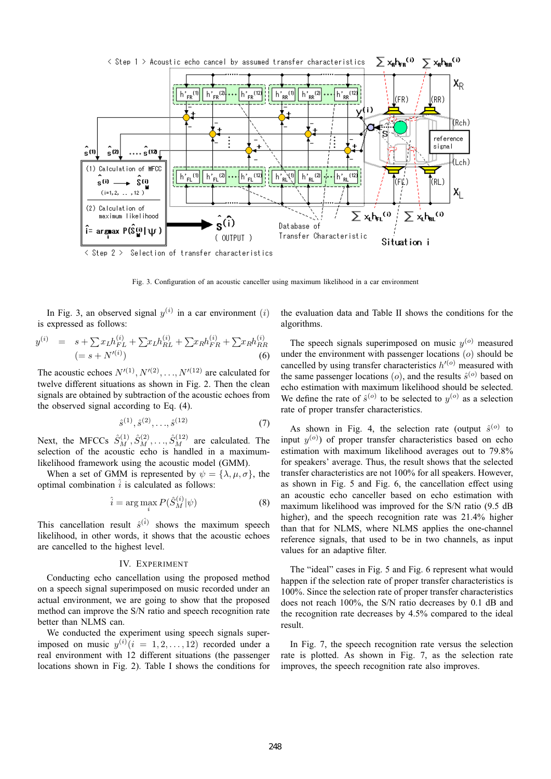

Fig. 3. Configuration of an acoustic canceller using maximum likelihood in a car environment

In Fig. 3, an observed signal  $y^{(i)}$  in a car environment (i) is expressed as follows:

$$
y^{(i)} = s + \sum x_L h_{FL}^{(i)} + \sum x_L h_{RL}^{(i)} + \sum x_R h_{FR}^{(i)} + \sum x_R h_{RR}^{(i)}
$$
  

$$
(= s + N'^{(i)})
$$
 (6)

The acoustic echoes  $N'(1)$ ,  $N'(2)$ , ...,  $N'(12)$  are calculated for twelve different situations as shown in Fig. 2. Then the clean signals are obtained by subtraction of the acoustic echoes from the observed signal according to Eq. (4).

$$
\hat{s}^{(1)}, \hat{s}^{(2)}, \dots, \hat{s}^{(12)} \tag{7}
$$

Next, the MFCCs  $\hat{S}_M^{(1)}, \hat{S}_M^{(2)}, \dots, \hat{S}_M^{(12)}$  are calculated. The selection of the acoustic echo is handled in a maximumlikelihood framework using the acoustic model (GMM).

When a set of GMM is represented by  $\psi = {\lambda, \mu, \sigma}$ , the optimal combination  $\hat{i}$  is calculated as follows:

$$
\hat{i} = \arg\max_{i} P(\hat{S}_{M}^{(i)}|\psi)
$$
 (8)

This cancellation result  $\hat{s}^{(\hat{i})}$  shows the maximum speech likelihood, in other words, it shows that the acoustic echoes are cancelled to the highest level.

## IV. EXPERIMENT

Conducting echo cancellation using the proposed method on a speech signal superimposed on music recorded under an actual environment, we are going to show that the proposed method can improve the S/N ratio and speech recognition rate better than NLMS can.

We conducted the experiment using speech signals superimposed on music  $y^{(i)}$   $(i = 1, 2, ..., 12)$  recorded under a real environment with 12 different situations (the passenger locations shown in Fig. 2). Table I shows the conditions for the evaluation data and Table II shows the conditions for the algorithms.

The speech signals superimposed on music  $y^{(o)}$  measured under the environment with passenger locations  $(o)$  should be cancelled by using transfer characteristics  $h^{\prime(\sigma)}$  measured with the same passenger locations (*o*), and the results  $\hat{s}^{(o)}$  based on echo estimation with maximum likelihood should be selected. We define the rate of  $\hat{s}^{(o)}$  to be selected to  $y^{(o)}$  as a selection rate of proper transfer characteristics.

As shown in Fig. 4, the selection rate (output  $\hat{s}^{(o)}$  to input  $y^{(o)}$ ) of proper transfer characteristics based on echo estimation with maximum likelihood averages out to 79.8% for speakers' average. Thus, the result shows that the selected transfer characteristics are not 100% for all speakers. However, as shown in Fig. 5 and Fig. 6, the cancellation effect using an acoustic echo canceller based on echo estimation with maximum likelihood was improved for the S/N ratio (9.5 dB higher), and the speech recognition rate was 21.4% higher than that for NLMS, where NLMS applies the one-channel reference signals, that used to be in two channels, as input values for an adaptive filter.

The "ideal" cases in Fig. 5 and Fig. 6 represent what would happen if the selection rate of proper transfer characteristics is 100%. Since the selection rate of proper transfer characteristics does not reach 100%, the S/N ratio decreases by 0.1 dB and the recognition rate decreases by 4.5% compared to the ideal result.

In Fig. 7, the speech recognition rate versus the selection rate is plotted. As shown in Fig. 7, as the selection rate improves, the speech recognition rate also improves.